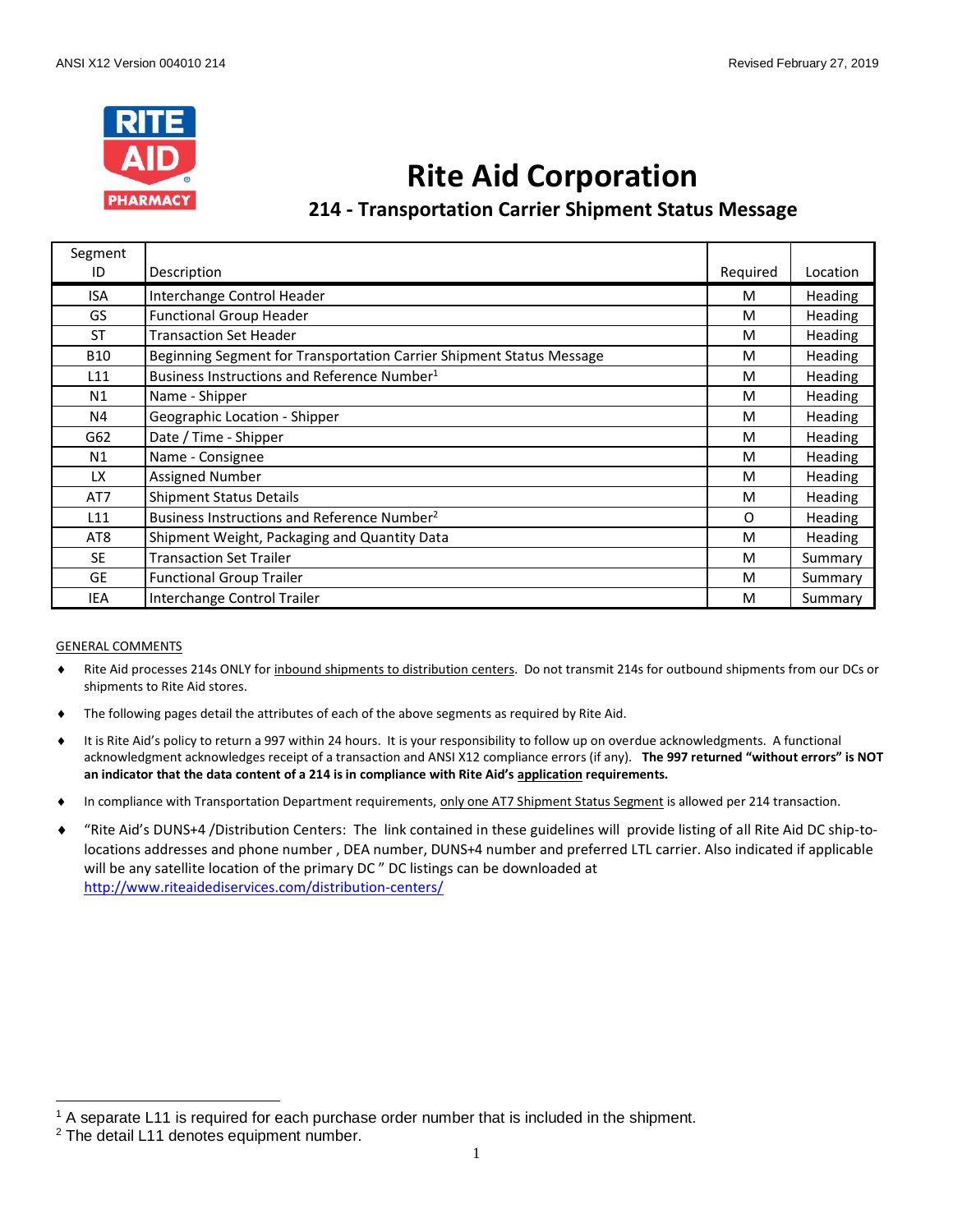

# **Rite Aid Corporation**

# **214 - Transportation Carrier Shipment Status Message**

| Segment         |                                                                      |          |                |
|-----------------|----------------------------------------------------------------------|----------|----------------|
| ID              | Description                                                          | Required | Location       |
| <b>ISA</b>      | Interchange Control Header                                           | м        | <b>Heading</b> |
| GS.             | <b>Functional Group Header</b>                                       | M        | <b>Heading</b> |
| <b>ST</b>       | <b>Transaction Set Header</b>                                        | M        | Heading        |
| <b>B10</b>      | Beginning Segment for Transportation Carrier Shipment Status Message | M        | <b>Heading</b> |
| L11             | Business Instructions and Reference Number <sup>1</sup>              | M        | <b>Heading</b> |
| N1              | Name - Shipper                                                       | M        | <b>Heading</b> |
| N4              | Geographic Location - Shipper                                        | M        | Heading        |
| G62             | Date / Time - Shipper                                                | M        | Heading        |
| N1              | Name - Consignee                                                     | M        | <b>Heading</b> |
| LX.             | <b>Assigned Number</b>                                               | M        | <b>Heading</b> |
| AT7             | <b>Shipment Status Details</b>                                       | M        | <b>Heading</b> |
| L11             | Business Instructions and Reference Number <sup>2</sup>              | 0        | <b>Heading</b> |
| AT <sub>8</sub> | Shipment Weight, Packaging and Quantity Data                         | M        | <b>Heading</b> |
| <b>SE</b>       | <b>Transaction Set Trailer</b>                                       | M        | Summary        |
| <b>GE</b>       | <b>Functional Group Trailer</b>                                      | M        | Summary        |
| IEA             | Interchange Control Trailer                                          | M        | Summary        |

#### GENERAL COMMENTS

 $\overline{a}$ 

- Rite Aid processes 214s ONLY for inbound shipments to distribution centers. Do not transmit 214s for outbound shipments from our DCs or shipments to Rite Aid stores.
- The following pages detail the attributes of each of the above segments as required by Rite Aid.
- It is Rite Aid's policy to return a 997 within 24 hours. It is your responsibility to follow up on overdue acknowledgments. A functional acknowledgment acknowledges receipt of a transaction and ANSI X12 compliance errors (if any). **The 997 returned "without errors" is NOT an indicator that the data content of a 214 is in compliance with Rite Aid's application requirements.**
- In compliance with Transportation Department requirements, only one AT7 Shipment Status Segment is allowed per 214 transaction.
- "Rite Aid's DUNS+4 /Distribution Centers: The link contained in these guidelines will provide listing of all Rite Aid DC ship-tolocations addresses and phone number , DEA number, DUNS+4 number and preferred LTL carrier. Also indicated if applicable will be any satellite location of the primary DC " DC listings can be downloaded at <http://www.riteaidediservices.com/distribution-centers/>

<sup>1</sup> A separate L11 is required for each purchase order number that is included in the shipment.

<sup>&</sup>lt;sup>2</sup> The detail L11 denotes equipment number.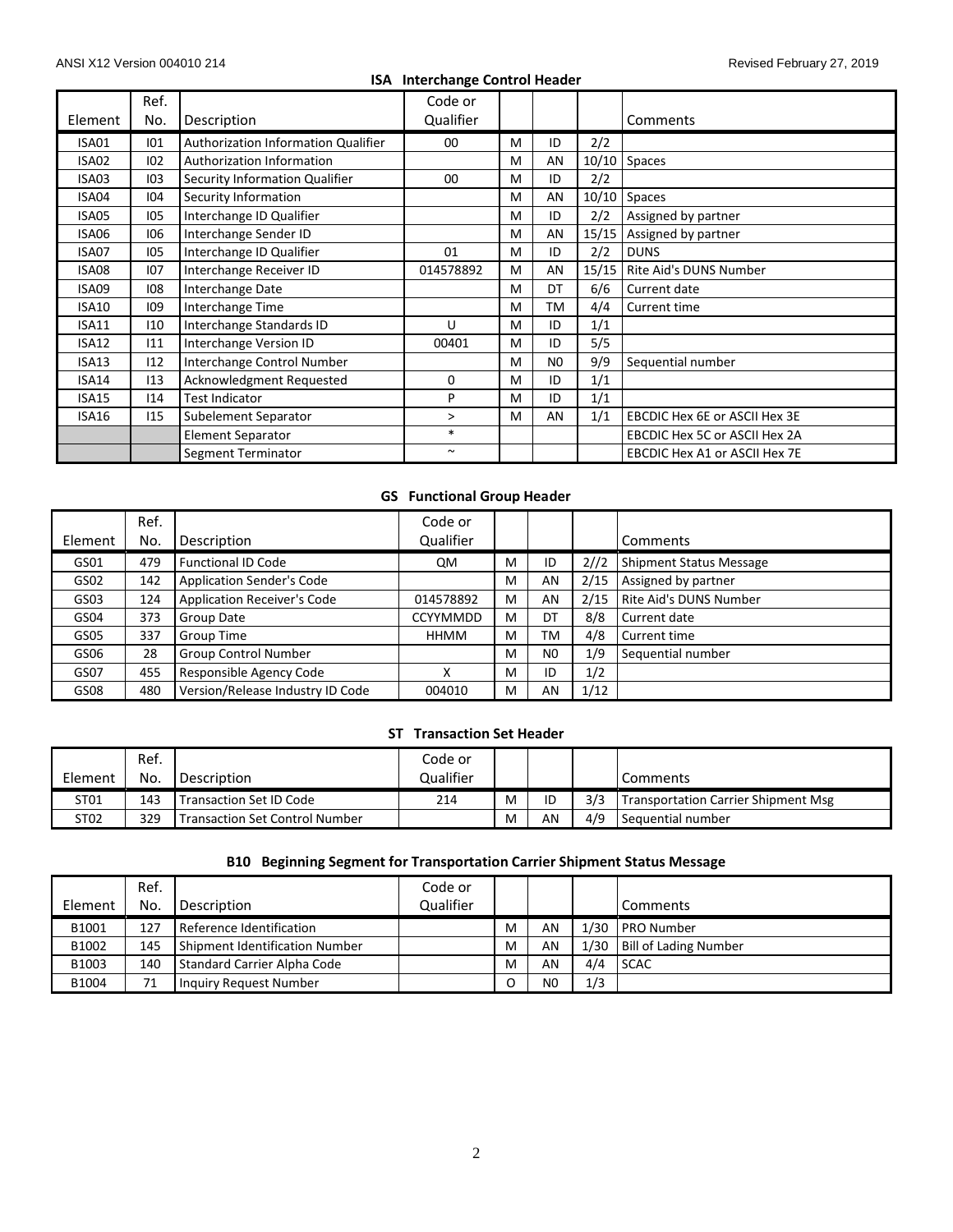# **ISA Interchange Control Header**

| Element      | Ref.<br>No. | Description                         | Code or<br>Qualifier  |   |                |       | Comments                             |
|--------------|-------------|-------------------------------------|-----------------------|---|----------------|-------|--------------------------------------|
|              |             |                                     |                       |   |                |       |                                      |
| ISA01        | 101         | Authorization Information Qualifier | 00                    | M | ID             | 2/2   |                                      |
| ISA02        | 102         | <b>Authorization Information</b>    |                       | M | AN             | 10/10 | <b>Spaces</b>                        |
| ISA03        | 103         | Security Information Qualifier      | $00\,$                | M | ID             | 2/2   |                                      |
| ISA04        | 104         | Security Information                |                       | M | AN             | 10/10 | Spaces                               |
| ISA05        | 105         | Interchange ID Qualifier            |                       | M | ID             | 2/2   | Assigned by partner                  |
| ISA06        | 106         | Interchange Sender ID               |                       | M | AN             | 15/15 | Assigned by partner                  |
| ISA07        | 105         | Interchange ID Qualifier            | 01                    | м | ID             | 2/2   | <b>DUNS</b>                          |
| ISA08        | 107         | Interchange Receiver ID             | 014578892             | M | AN             | 15/15 | Rite Aid's DUNS Number               |
| ISA09        | 108         | Interchange Date                    |                       | M | DT             | 6/6   | Current date                         |
| <b>ISA10</b> | 109         | Interchange Time                    |                       | M | ТM             | 4/4   | Current time                         |
| <b>ISA11</b> | 110         | Interchange Standards ID            | U                     | M | ID             | 1/1   |                                      |
| <b>ISA12</b> | 111         | Interchange Version ID              | 00401                 | M | ID             | 5/5   |                                      |
| ISA13        | 112         | Interchange Control Number          |                       | M | N <sub>0</sub> | 9/9   | Sequential number                    |
| ISA14        | 113         | Acknowledgment Requested            | 0                     | M | ID             | 1/1   |                                      |
| ISA15        | 114         | <b>Test Indicator</b>               | P                     | M | ID             | 1/1   |                                      |
| ISA16        | 115         | Subelement Separator                | >                     | M | AN             | 1/1   | EBCDIC Hex 6E or ASCII Hex 3E        |
|              |             | <b>Element Separator</b>            | $\ast$                |   |                |       | EBCDIC Hex 5C or ASCII Hex 2A        |
|              |             | Segment Terminator                  | $\tilde{\phantom{a}}$ |   |                |       | <b>EBCDIC Hex A1 or ASCII Hex 7E</b> |

# **GS Functional Group Header**

| Element | Ref.<br>No. | Description                        | Code or<br>Qualifier |   |                |      | Comments                       |
|---------|-------------|------------------------------------|----------------------|---|----------------|------|--------------------------------|
| GS01    | 479         | <b>Functional ID Code</b>          | <b>QM</b>            | M | ID             | 2//2 | <b>Shipment Status Message</b> |
| GS02    | 142         | <b>Application Sender's Code</b>   |                      | M | AN             | 2/15 | Assigned by partner            |
| GS03    | 124         | <b>Application Receiver's Code</b> | 014578892            | M | AN             | 2/15 | Rite Aid's DUNS Number         |
| GS04    | 373         | Group Date                         | <b>CCYYMMDD</b>      | M | DT             | 8/8  | Current date                   |
| GS05    | 337         | Group Time                         | <b>HHMM</b>          | M | <b>TM</b>      | 4/8  | Current time                   |
| GS06    | 28          | <b>Group Control Number</b>        |                      | M | N <sub>0</sub> | 1/9  | Sequential number              |
| GS07    | 455         | Responsible Agency Code            | х                    | M | ID             | 1/2  |                                |
| GS08    | 480         | Version/Release Industry ID Code   | 004010               | M | AN             | 1/12 |                                |

# **ST Transaction Set Header**

|                  | Ref. |                                       | Code or   |   |    |     |                                            |
|------------------|------|---------------------------------------|-----------|---|----|-----|--------------------------------------------|
| Element          | No.  | Description                           | Qualifier |   |    |     | Comments                                   |
| ST <sub>01</sub> | 143  | <b>Transaction Set ID Code</b>        | 214       | M | ID | 3/3 | <b>Transportation Carrier Shipment Msg</b> |
| ST02             | 329  | <b>Transaction Set Control Number</b> |           | M | AN | 4/9 | Sequential number                          |

# **B10 Beginning Segment for Transportation Carrier Shipment Status Message**

|         | Ref. |                                | Code or   |   |                |      |                              |
|---------|------|--------------------------------|-----------|---|----------------|------|------------------------------|
| Element | No.  | Description                    | Qualifier |   |                |      | <b>Comments</b>              |
| B1001   | 127  | Reference Identification       |           | M | AN             | 1/30 | <b>PRO Number</b>            |
| B1002   | 145  | Shipment Identification Number |           | M | AN             |      | 1/30   Bill of Lading Number |
| B1003   | 140  | Standard Carrier Alpha Code    |           | M | AN             | 4/4  | <b>SCAC</b>                  |
| B1004   | 71   | Inquiry Request Number         |           |   | N <sub>0</sub> | 1/3  |                              |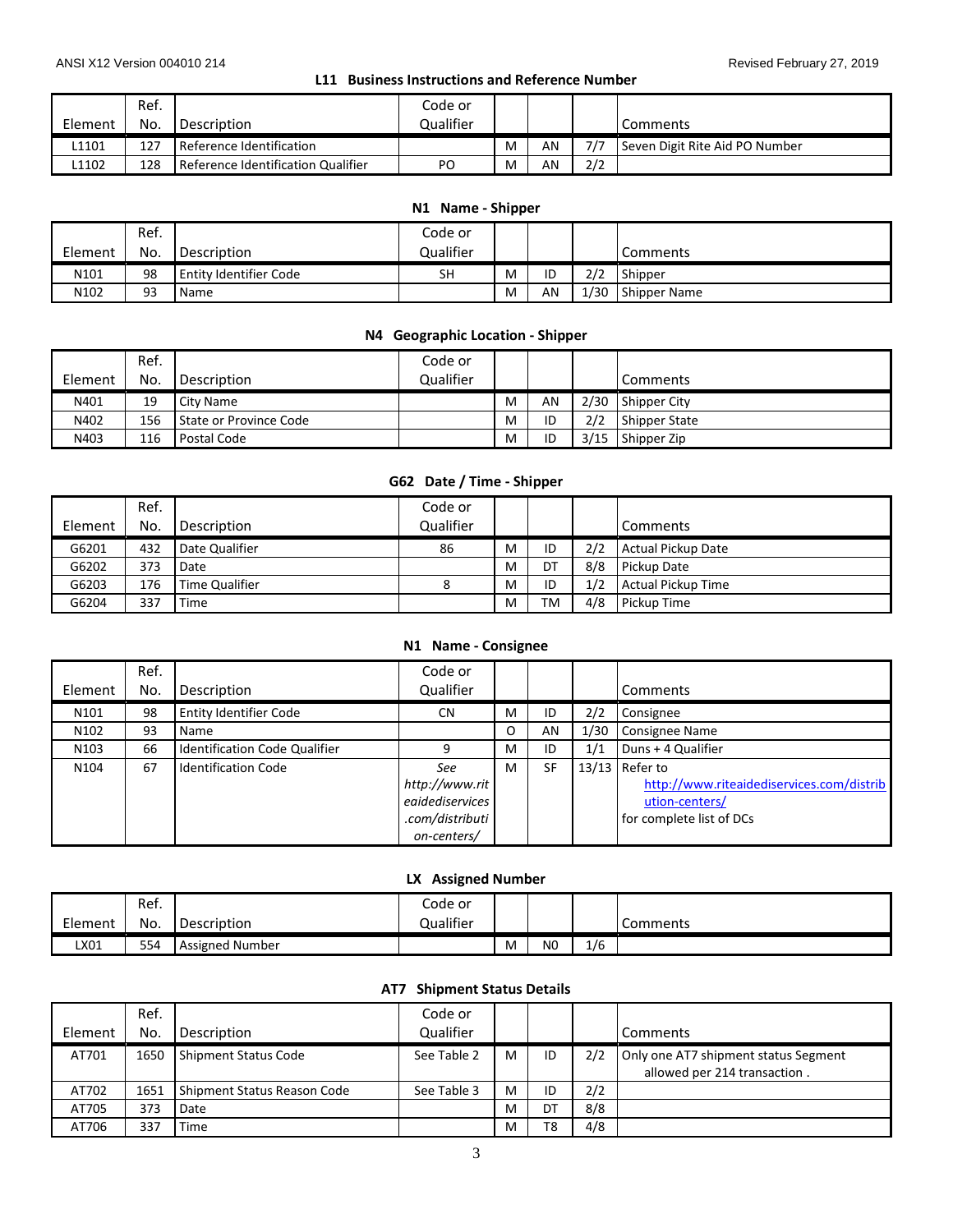# **L11 Business Instructions and Reference Number**

|         | Ref. |                                    | Code or   |   |    |     |                                |
|---------|------|------------------------------------|-----------|---|----|-----|--------------------------------|
| Element | No.  | Description                        | Qualifier |   |    |     | Comments                       |
| L1101   | 127  | Reference Identification           |           | M | AN | 7/7 | Seven Digit Rite Aid PO Number |
| L1102   | 128  | Reference Identification Qualifier | PO        | м | AN | 2/2 |                                |

# **N1 Name - Shipper**

|                  | Ref. |                        | Code or   |   |    |      |                 |
|------------------|------|------------------------|-----------|---|----|------|-----------------|
| Element          | No.  | Description            | Qualifier |   |    |      | <b>Comments</b> |
| N <sub>101</sub> | 98   | Entity Identifier Code | SН        | M | ID | 2/2  | Shipper         |
| N102             | 93   | Name                   |           | M | AN | 1/30 | Shipper Name    |

# **N4 Geographic Location - Shipper**

|         | Ref. |                        | Code or   |   |    |      |                      |
|---------|------|------------------------|-----------|---|----|------|----------------------|
| Element | No.  | Description            | Qualifier |   |    |      | Comments             |
| N401    | 19   | City Name              |           | M | AN | 2/30 | Shipper City         |
| N402    | 156  | State or Province Code |           | M | ID | 2/2  | <b>Shipper State</b> |
| N403    | 116  | Postal Code            |           | M | ID | 3/15 | Shipper Zip          |

# **G62 Date / Time - Shipper**

| Element | Ref.<br>No. | Description    | Code or<br>Qualifier |   |           |     | Comments                  |
|---------|-------------|----------------|----------------------|---|-----------|-----|---------------------------|
| G6201   | 432         | Date Qualifier | 86                   | м | ID        | 2/2 | Actual Pickup Date        |
| G6202   | 373         | Date           |                      | M | DT        | 8/8 | Pickup Date               |
| G6203   | 176         | Time Qualifier |                      | M | ID        | 1/2 | <b>Actual Pickup Time</b> |
| G6204   | 337         | Time           |                      | M | <b>TM</b> | 4/8 | Pickup Time               |

#### **N1 Name - Consignee**

| Element          | Ref.<br>No. | Description                          | Code or<br>Qualifier |   |           |      | <b>Comments</b>                           |
|------------------|-------------|--------------------------------------|----------------------|---|-----------|------|-------------------------------------------|
| N101             | 98          | <b>Entity Identifier Code</b>        | <b>CN</b>            | M | ID        | 2/2  | Consignee                                 |
| N <sub>102</sub> | 93          | Name                                 |                      | O | AN        | 1/30 | Consignee Name                            |
| N <sub>103</sub> | 66          | <b>Identification Code Qualifier</b> |                      | м | ID        | 1/1  | Duns + 4 Qualifier                        |
| N104             | 67          | <b>Identification Code</b>           | See                  | м | <b>SF</b> |      | $13/13$ Refer to                          |
|                  |             |                                      | http://www.rit       |   |           |      | http://www.riteaidediservices.com/distrib |
|                  |             |                                      | egidediservices      |   |           |      | ution-centers/                            |
|                  |             |                                      | .com/distributi      |   |           |      | for complete list of DCs                  |
|                  |             |                                      | on-centers/          |   |           |      |                                           |

#### **LX Assigned Number**

|         | Ref. |                        | Code or   |   |                |     |          |
|---------|------|------------------------|-----------|---|----------------|-----|----------|
| Element | No.  | <b>Description</b>     | Qualifier |   |                |     | Comments |
| LX01    | 554  | <b>Assigned Number</b> |           | M | N <sub>0</sub> | 1/6 |          |

#### **AT7 Shipment Status Details**

|         | Ref. |                             | Code or     |   |    |     |                                                                      |
|---------|------|-----------------------------|-------------|---|----|-----|----------------------------------------------------------------------|
| Element | No.  | Description                 | Qualifier   |   |    |     | Comments                                                             |
| AT701   | 1650 | Shipment Status Code        | See Table 2 | м | ID | 2/2 | Only one AT7 shipment status Segment<br>allowed per 214 transaction. |
| AT702   | 1651 | Shipment Status Reason Code | See Table 3 | м | ID | 2/2 |                                                                      |
| AT705   | 373  | Date                        |             | M | DT | 8/8 |                                                                      |
| AT706   | 337  | Time                        |             | M | T8 | 4/8 |                                                                      |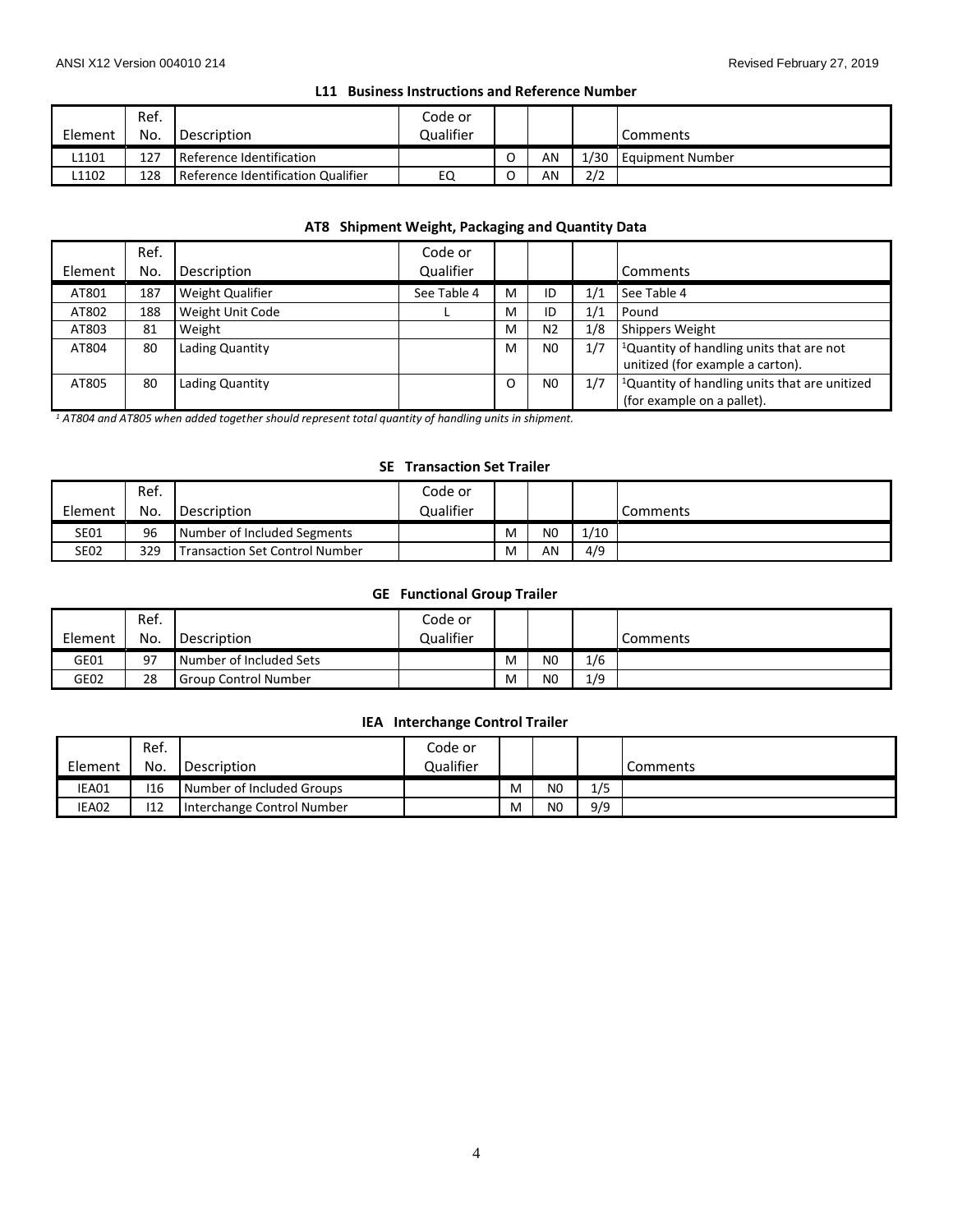#### **L11 Business Instructions and Reference Number**

|         | Ref. |                                    | Code or   |    |      |                  |
|---------|------|------------------------------------|-----------|----|------|------------------|
| Element | No.  | Description                        | Qualifier |    |      | <b>Comments</b>  |
| 1101.   | 127  | Reference Identification           |           | AN | L/30 | Equipment Number |
| 1102    | 128  | Reference Identification Qualifier | EQ        | AN | 2/2  |                  |

# **AT8 Shipment Weight, Packaging and Quantity Data**

|         | Ref. |                  | Code or     |   |                |     |                                                           |
|---------|------|------------------|-------------|---|----------------|-----|-----------------------------------------------------------|
| Element | No.  | Description      | Qualifier   |   |                |     | Comments                                                  |
| AT801   | 187  | Weight Qualifier | See Table 4 | м | ID             | 1/1 | See Table 4                                               |
| AT802   | 188  | Weight Unit Code |             | M | ID             | 1/1 | Pound                                                     |
| AT803   | 81   | Weight           |             | M | N <sub>2</sub> | 1/8 | Shippers Weight                                           |
| AT804   | 80   | Lading Quantity  |             | M | N <sub>0</sub> | 1/7 | <sup>1</sup> Quantity of handling units that are not      |
|         |      |                  |             |   |                |     | unitized (for example a carton).                          |
| AT805   | 80   | Lading Quantity  |             | O | N <sub>0</sub> | 1/7 | <sup>1</sup> Quantity of handling units that are unitized |
|         |      |                  |             |   |                |     | (for example on a pallet).                                |

*<sup>1</sup> AT804 and AT805 when added together should represent total quantity of handling units in shipment.*

#### **SE Transaction Set Trailer**

|             | Ref. |                                       | Code or   |   |                |      |                 |
|-------------|------|---------------------------------------|-----------|---|----------------|------|-----------------|
| Element     | No.  | l Description                         | Qualifier |   |                |      | <b>Comments</b> |
| <b>SE01</b> | 96   | Number of Included Segments           |           | M | N <sub>0</sub> | 1/10 |                 |
| <b>SE02</b> | 329  | <b>Transaction Set Control Number</b> |           | M | AN             | 4/9  |                 |

#### **GE Functional Group Trailer**

| Element | Ref.<br>No. |                             | Code or<br>Qualifier |   |                |     |          |
|---------|-------------|-----------------------------|----------------------|---|----------------|-----|----------|
|         |             | Description                 |                      |   |                |     | Comments |
| GE01    | 97          | Number of Included Sets     |                      | M | N <sub>0</sub> | 1/6 |          |
| GE02    | 28          | <b>Group Control Number</b> |                      | M | N <sub>0</sub> | 1/9 |          |

#### **IEA Interchange Control Trailer**

|         | Ref. |                            | Code or   |   |                |     |          |
|---------|------|----------------------------|-----------|---|----------------|-----|----------|
| Element | No.  | Description                | Qualifier |   |                |     | Comments |
| IEA01   | 116  | Number of Included Groups  |           | M | N <sub>0</sub> | 1/5 |          |
| IEA02   | 112  | Interchange Control Number |           | M | N <sub>0</sub> | 9/9 |          |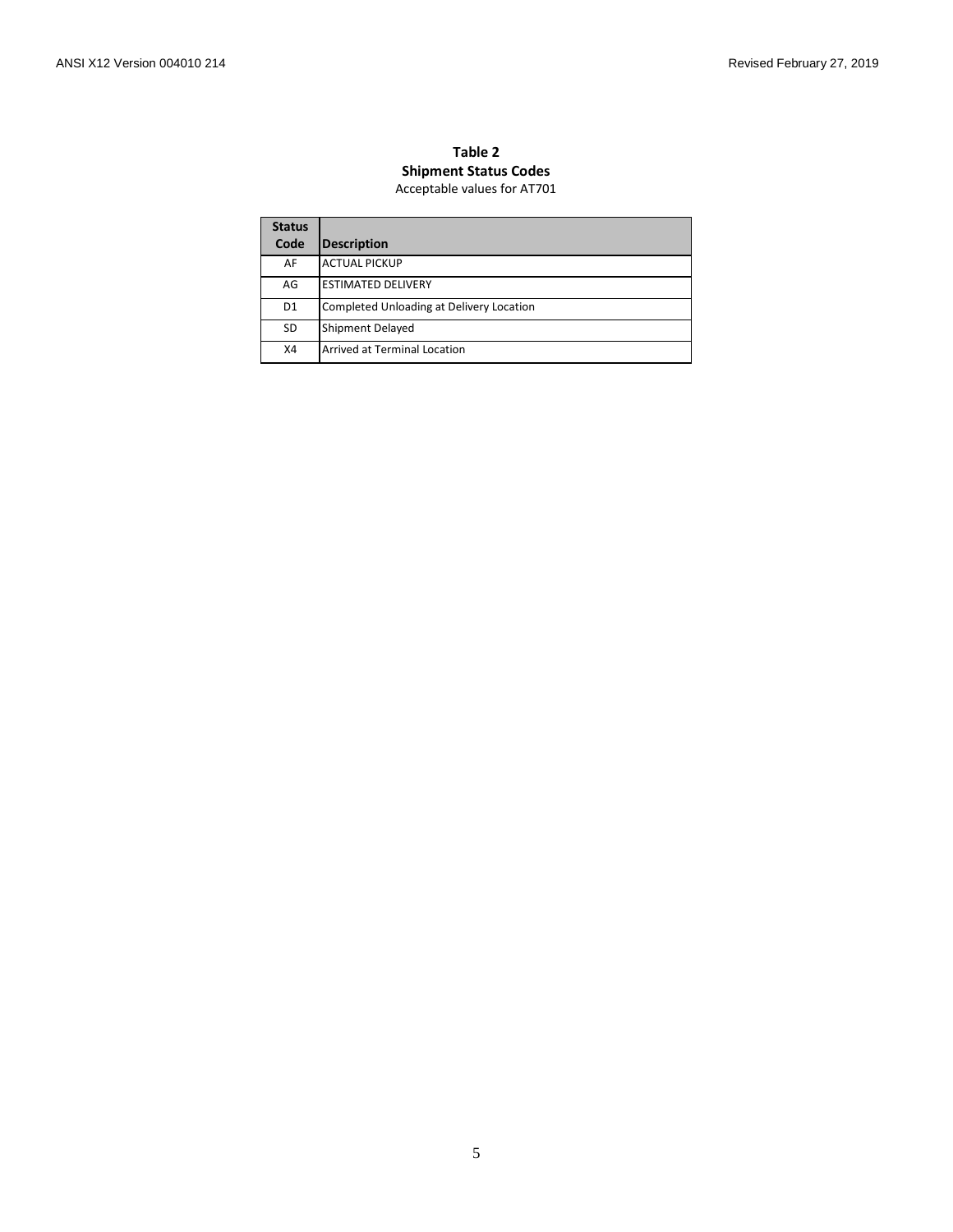#### **Table 2 Shipment Status Codes** Acceptable values for AT701

| <b>Status</b>  |                                          |
|----------------|------------------------------------------|
| Code           | Description                              |
| AF             | <b>ACTUAL PICKUP</b>                     |
| AG             | <b>ESTIMATED DELIVERY</b>                |
| D <sub>1</sub> | Completed Unloading at Delivery Location |
| <b>SD</b>      | <b>Shipment Delayed</b>                  |
| X4             | <b>Arrived at Terminal Location</b>      |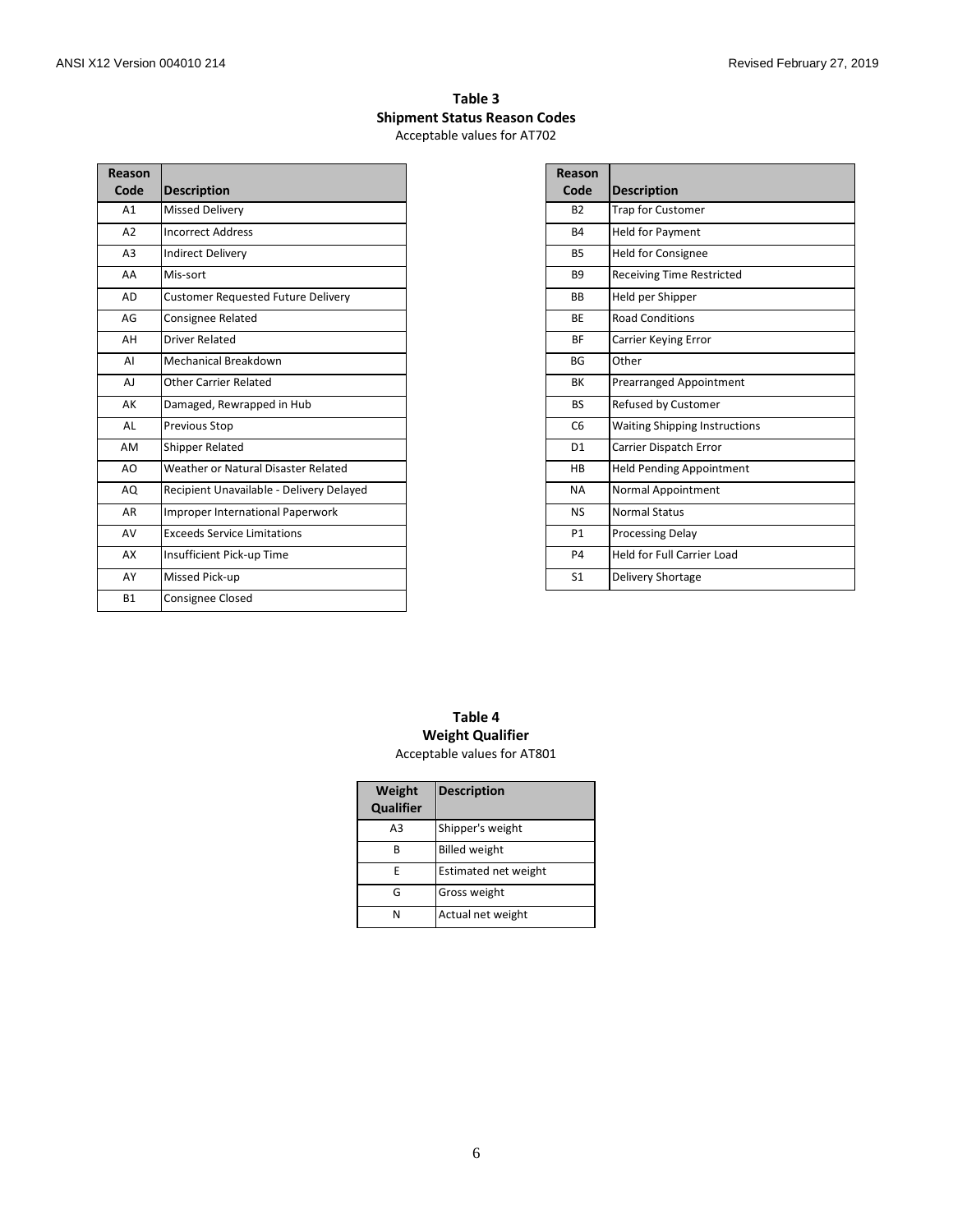# **Table 3 Shipment Status Reason Codes** Acceptable values for AT702

| Reason<br>Code | <b>Description</b>                        |
|----------------|-------------------------------------------|
| A1             | <b>Missed Delivery</b>                    |
| A <sub>2</sub> | <b>Incorrect Address</b>                  |
| A <sub>3</sub> | <b>Indirect Delivery</b>                  |
| AA             | Mis-sort                                  |
| A <sub>D</sub> | <b>Customer Requested Future Delivery</b> |
| AG             | <b>Consignee Related</b>                  |
| AH             | <b>Driver Related</b>                     |
| AI             | Mechanical Breakdown                      |
| A.             | <b>Other Carrier Related</b>              |
| AK             | Damaged, Rewrapped in Hub                 |
| AI             | <b>Previous Stop</b>                      |
| AM             | <b>Shipper Related</b>                    |
| AO             | Weather or Natural Disaster Related       |
| AO             | Recipient Unavailable - Delivery Delayed  |
| AR             | <b>Improper International Paperwork</b>   |
| AV             | <b>Exceeds Service Limitations</b>        |
| AX             | Insufficient Pick-up Time                 |
| AY             | Missed Pick-up                            |
| <b>B1</b>      | <b>Consignee Closed</b>                   |

| Reason         |                                      |
|----------------|--------------------------------------|
| Code           | <b>Description</b>                   |
| <b>B2</b>      | <b>Trap for Customer</b>             |
| <b>B4</b>      | <b>Held for Payment</b>              |
| <b>B5</b>      | <b>Held for Consignee</b>            |
| <b>B9</b>      | <b>Receiving Time Restricted</b>     |
| <b>BB</b>      | Held per Shipper                     |
| <b>BE</b>      | <b>Road Conditions</b>               |
| <b>BF</b>      | Carrier Keying Error                 |
| <b>BG</b>      | Other                                |
| BK             | <b>Prearranged Appointment</b>       |
| <b>BS</b>      | Refused by Customer                  |
| C <sub>6</sub> | <b>Waiting Shipping Instructions</b> |
| D <sub>1</sub> | <b>Carrier Dispatch Error</b>        |
| HB             | <b>Held Pending Appointment</b>      |
| <b>NA</b>      | Normal Appointment                   |
| <b>NS</b>      | <b>Normal Status</b>                 |
| P <sub>1</sub> | <b>Processing Delay</b>              |
| P <sub>4</sub> | <b>Held for Full Carrier Load</b>    |
| S <sub>1</sub> | <b>Delivery Shortage</b>             |

#### **Table 4 Weight Qualifier** Acceptable values for AT801

| Weight<br>Qualifier | <b>Description</b>   |
|---------------------|----------------------|
| A <sub>3</sub>      | Shipper's weight     |
| в                   | <b>Billed weight</b> |
| F                   | Estimated net weight |
| G                   | Gross weight         |
| N                   | Actual net weight    |